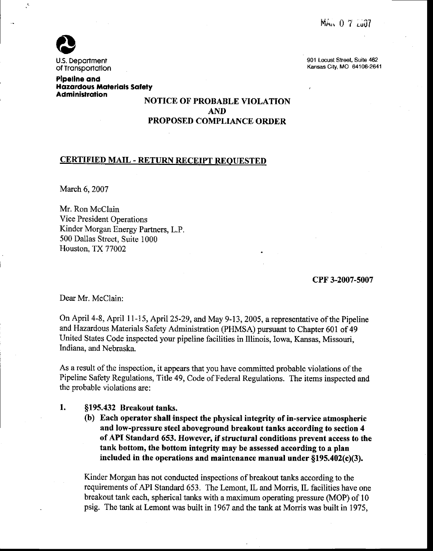@ U.S. Deportment of Transportation

901 Locust Street, Suite 462 Kansas City, MO 64106-2641

Plpellne ond Hazardous Materials Safety **Administration** 

## NOTICE OF PROBABLE VIOLATION AND PROPOSED COMPLIANCE ORDER

### CERTIFIED MAIL - RETURN RECEIPT REOUESTED

March 6, 2007

Mr. Ron McClain Vice President Operations Kinder Morgan Energy Partners, L.P. 500 Dallas Street, Suite 1000 Houston, TX 77002

#### cPF 3-2007-5007

Dear Mr. McClain:

On April 4-8, April I l-15, April 25-29, and May 9-13, 2005, a representative of the Pipeline and Hazardous Materials Safety Administration (PHMSA) pursuant to chapter 601 of 49 United states code inspected your pipeline facilities in lllinois, Iowa, Kansas, Missouri, Indiana, and Nebraska.

As a result of the inspection, it appears that you have committed probable violations of the Pipeline Safety Regulations, Title 49, Code of Federal Regulations. The items inspected and the probable violations are:

### 1. \$195.432 Breakout tanks.

(b) Each operator shall inspect the physical integrity of in-service atmospheric and low-pressure steel aboveground breakout tanks according to section 4 of API Standard 653, However, if structural conditions prevent access to the tank bottom, the bottom integrity may be assessed according to a plan included in the operations and maintenance manual under \$195.402(c)(3).

Kinder Morgan has not conducted inspections of breakout tanks according to the requirements of API Standard 653. The Lemont, IL and Morris, IL facilities have one breakout tank each, spherical tanks with a maximum operating pressure (MOP) of 10 psig. The tank at Lemont was built in1967 and the tank at Morris was built in1975,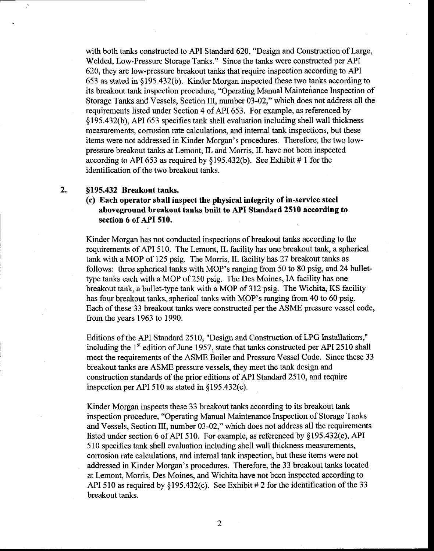with both tanks constructed to API Standard 620, "Design and Construction of Large, Welded, Low-Pressure Storage Tanks." Since the tanks were constructed per API 620, they are low-pressure breakout tanks that require inspection according to API 653 as stated in \$195.432(b). Kinder Morgan inspected these two tanks according to its breakout tank inspection procedure, "Operating Manual Maintenance Inspection of Storage Tanks and Vessels, Section III, number 03-02," which does not address all the requirements listed under Section 4 of API 653. For example, as referenced by \$195.432(b), API 653 specifies tank shell evaluation including shell wall thickness measurements, corrosion rate calculations, and intemal tank inspections, but these items were not addressed in Kinder Morgan's procedures. Therefore, the two lowpressure breakout tanks at Lemont, IL and Morris, IL have not been inspected according to API 653 as required by  $$195.432(b)$ . See Exhibit # 1 for the identification of the two breakout tanks.

#### 2. \$195.432 Breakout tanks.

(c) Each operator shall inspect the physical integrity of in-service steel aboveground breakout tanks built to API Standard 2510 according to section 6 of API 510.

Kinder Morgan has not conducted inspections of breakout tanks according to the requirements of API 510. The Lemont, IL facility has one breakout tank, a spherical tank with a MOP of  $125$  psig. The Morris, IL facility has  $27$  breakout tanks as follows: three spherical tanks with MOP's ranging from 50 to 80 psig, and 24 bullettype tanks each with a MOP of 250 psig. The Des Moines, IA facility has one breakout tank, a bullet-type tank with a MOP of 3 12 psig. The Wichita, KS facility has four breakout tanks, spherical tanks with MOP's ranging from 40 to 60 psig. Each of these 33 breakout tanks were constructed per the ASME pressure vessel code, from the years 1963 to 1990.

Editions of the API Standard 2510, "Design and Construction of LPG Installations," including the  $1<sup>st</sup>$  edition of June 1957, state that tanks constructed per API 2510 shall meet the requirements of the ASME Boiler and Pressure Vessel Code. Since these 33 breakout tanks are ASME pressure vessels, they meet the tank design and construction standards of the prior editions of API Standard 2510, and require inspection per API 510 as stated in \$195.432(c).

Kinder Morgan inspects these 33 breakout tanks according to its breakout tank inspection procedure, "Operating Manual Maintenance Inspection of Storage Tanks and Vessels, Section III, number 03-02," which does not address all the requirements listed under section 6 of API 510. For example, as referenced by  $\S 195.432(c)$ , API 510 specifies tank shell evaluation including shell wall thickness measutements, corrosion rate calculations, and intemal tank inspection, but these items were not addressed in Kinder Morgan's procedures. Therefore, the 33 breakout tanks located at Lemont, Morris, Des Moines, and Wichita have not been inspected according to API 510 as required by  $§195.432(c)$ . See Exhibit #2 for the identification of the 33 breakout tanks.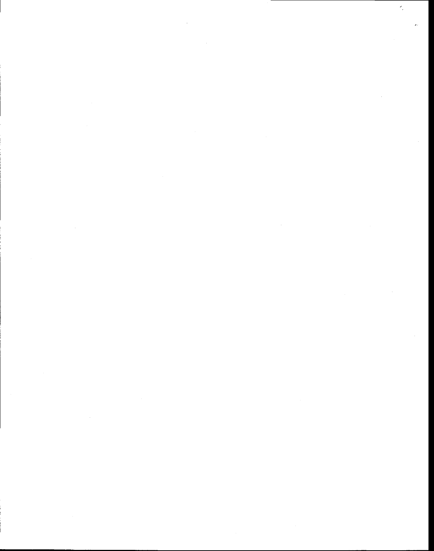$\label{eq:2.1} \frac{1}{\sqrt{2}}\left(\frac{1}{\sqrt{2}}\right)^{2} \left(\frac{1}{\sqrt{2}}\right)^{2} \left(\frac{1}{\sqrt{2}}\right)^{2} \left(\frac{1}{\sqrt{2}}\right)^{2} \left(\frac{1}{\sqrt{2}}\right)^{2} \left(\frac{1}{\sqrt{2}}\right)^{2} \left(\frac{1}{\sqrt{2}}\right)^{2} \left(\frac{1}{\sqrt{2}}\right)^{2} \left(\frac{1}{\sqrt{2}}\right)^{2} \left(\frac{1}{\sqrt{2}}\right)^{2} \left(\frac{1}{\sqrt{2}}\right)^{2} \left(\$ 

 $\label{eq:2.1} \mathcal{L}(\mathcal{L}^{\text{max}}_{\mathcal{L}}(\mathcal{L}^{\text{max}}_{\mathcal{L}}),\mathcal{L}^{\text{max}}_{\mathcal{L}}(\mathcal{L}^{\text{max}}_{\mathcal{L}}))$ 

 $\label{eq:2.1} \frac{1}{\sqrt{2}}\left(\frac{1}{\sqrt{2}}\right)^{2} \left(\frac{1}{\sqrt{2}}\right)^{2} \left(\frac{1}{\sqrt{2}}\right)^{2} \left(\frac{1}{\sqrt{2}}\right)^{2} \left(\frac{1}{\sqrt{2}}\right)^{2} \left(\frac{1}{\sqrt{2}}\right)^{2} \left(\frac{1}{\sqrt{2}}\right)^{2} \left(\frac{1}{\sqrt{2}}\right)^{2} \left(\frac{1}{\sqrt{2}}\right)^{2} \left(\frac{1}{\sqrt{2}}\right)^{2} \left(\frac{1}{\sqrt{2}}\right)^{2} \left(\$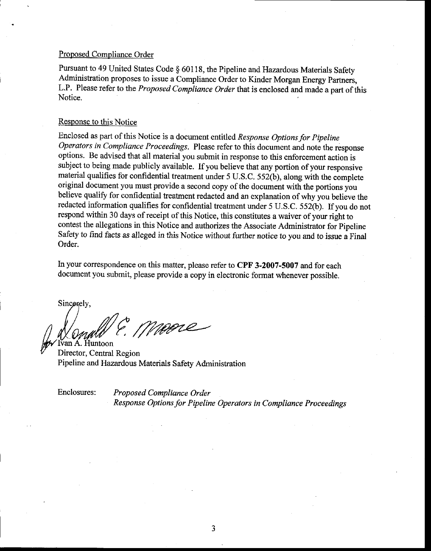### Proposed Compliance Order

Pursuant to 49 United States Code \$ 60118, the Pipeline and Hazardous Materials Safety Administration proposes to issue a Compliance Order to Kinder Morgan Energy Partners, L.P. Please refer to the Proposed Compliance Order that is enclosed and made a part of this Notice.

#### Response to this Notice

Enclosed as part of this Notice is a document entitled Response Options for Pipeline Operators in Compliance Proceedings. Please refer to this document and note the response options. Be advised that all material you submit in response to this enforcement action is subject to being made publicly available. If you believe that any portion of your responsive material qualifies for confidential treatment under 5 U.S.C. 552(b), along with the complete original document you must provide a second copy of the document with the portions you believe qualify for confidential treatment redacted and an explanation of why you believe the redacted information qualifies for confidential treatment under 5 U.S.C. 552(b). If you do not respond within 30 days of receipt of this Notice, this constitutes a waiver of your right to contest the allegations in this Notice and authorizes the Associate Administrator for Pipeline Safety to find facts as alleged in this Notice without further notice to you and to issue a Final Order.

In your correspondence on this matter, please refer to CPF 3-2007-5007 and for each document you submit, please provide a copy in electronic format whenever possible.

Sincerely,

ffi.ws-Ivan A. Huntoon

Director, Central Region Pipeline and Hazardous Materials Safety Administration

Enclosures: Proposed Compliance Order Response Options for Pipeline Operators in Compliance Proceedings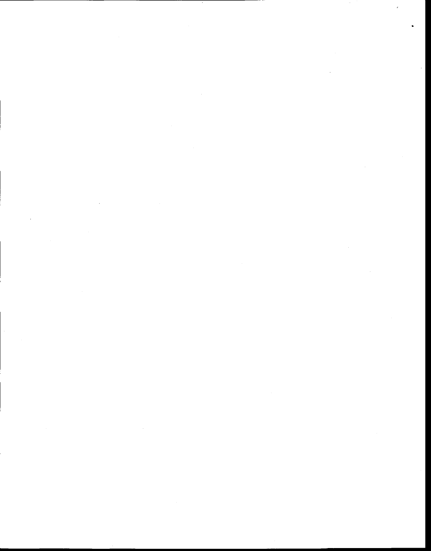$\label{eq:2.1} \frac{1}{\sqrt{2}}\int_{0}^{\infty} \frac{d\mu}{\sqrt{2}}\,d\mu\int_{0}^{\infty} \frac{d\mu}{\sqrt{2}}\,d\mu\int_{0}^{\infty} \frac{d\mu}{\sqrt{2}}\,d\mu\int_{0}^{\infty} \frac{d\mu}{\sqrt{2}}\,d\mu\int_{0}^{\infty} \frac{d\mu}{\sqrt{2}}\,d\mu\int_{0}^{\infty} \frac{d\mu}{\sqrt{2}}\,d\mu\int_{0}^{\infty} \frac{d\mu}{\sqrt{2}}\,d\mu\int_{0}^{\infty} \frac$  $\label{eq:2.1} \frac{1}{\sqrt{2}}\int_{0}^{\infty}\frac{1}{\sqrt{2\pi}}\left(\frac{1}{\sqrt{2}}\right)^{2}d\mu_{\rm{max}}\,.$  $\label{eq:2.1} \frac{1}{\sqrt{2\pi}}\int_{\mathbb{R}^3}\frac{1}{\sqrt{2\pi}}\int_{\mathbb{R}^3}\frac{1}{\sqrt{2\pi}}\int_{\mathbb{R}^3}\frac{1}{\sqrt{2\pi}}\int_{\mathbb{R}^3}\frac{1}{\sqrt{2\pi}}\int_{\mathbb{R}^3}\frac{1}{\sqrt{2\pi}}\int_{\mathbb{R}^3}\frac{1}{\sqrt{2\pi}}\int_{\mathbb{R}^3}\frac{1}{\sqrt{2\pi}}\int_{\mathbb{R}^3}\frac{1}{\sqrt{2\pi}}\int_{\mathbb{R}^3}\frac{1$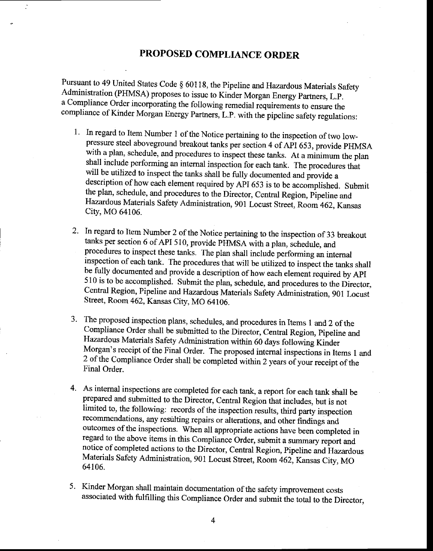# PROPOSED COMPLIANCE ORDER

Pursuant to 49 United States Code § 60118, the Pipeline and Hazardous Materials Safety<br>Administration (PHMSA) proposes to issue to Kinder Morgan Energy Partners, L.P.<br>a Compliance Order incorporating the following remedial compliance of Kinder Morgan Energy Partners, L.P. with the pipeline safety regulations:

- 1- In regard to Item Number I of the Notice pertaining to the inspection of two lowpressure steel aboveground breakout tanks per section 4 of ApI 653, provide pHMSA with a plan, schedule, and procedures to inspect these tanks. At a minimum the plan shall include performing an internal inspection for each tank. The procedures that will be utilized to inspect the tanks shall be fully documented and provide a description of how each element required by API 653 is to be accomplished. Submit the plan, schedule, and procedures to the Director, Central Region, Pipeline and Hazardous Materials Safety Administration, 901 Locust Street, Room 462, Kansas City, MO 64106.
- 2. In regard to Item Number 2 of the Notice pertaining to the inspection of 33 breakout tanks per section 6 of API 510, provide PHMSA with a plan, schedule, and procedures to inspect these tanks. The plan shall include per
- 3. The proposed inspection plans, schedules, and procedures in Items 1 and 2 of the Compliance Order shall be submitted to the Director, Central Region, Pipeline and Hazardous Materials Safety Administration within 60 days 2 of the Compliance Order shall be completed within 2 years of your receipt of the Final Order.
- 4. As internal inspections are completed for each tank, a report for each tank shall be prepared and submitted to the Director, Central Region that includes, but is not limited to, the following: records of the inspection recommendations, any resulting repairs or alterations, and other findings and outcomes of the inspections. When all appropriate actions have been completed in regard to the above items in this Compliance Order, submit a summary report and<br>notice of completed actions to the Director, Central Region, Pipeline and Hazardous Malerials safety Administration, 901 Locust street, Room 462, Kansas city, Mo 64106.
- 5' Kinder Morgan shall maintain documentation of the safety improvement costs associated with fulfilling this Compliance Order and submit the total to the Director,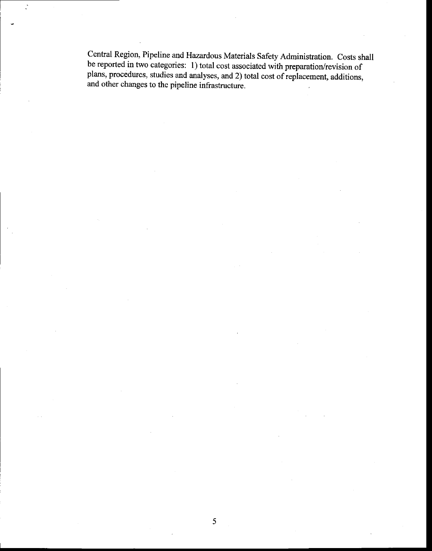Central Region, Pipeline and Hazardous Materials Safety Administration. Costs shall be reported in two categories: 1) total cost associated with preparation/revision of plans, procedures, studies and analyses, and 2) total cost of replacement, additions, and other changes to the pipeline infrastructure.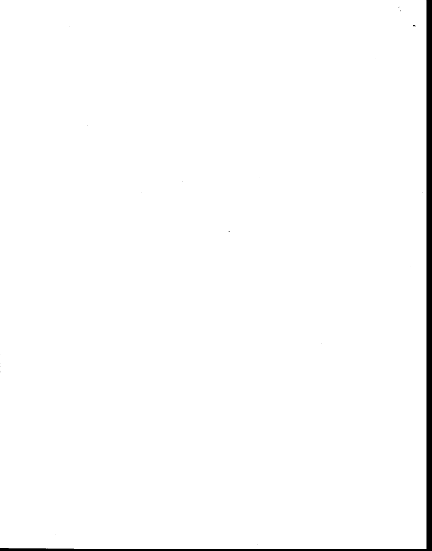$\frac{1}{2}$  $\label{eq:2.1} \frac{1}{\sqrt{2}}\sum_{i=1}^n\frac{1}{\sqrt{2}}\sum_{i=1}^n\frac{1}{\sqrt{2}}\sum_{i=1}^n\frac{1}{\sqrt{2}}\sum_{i=1}^n\frac{1}{\sqrt{2}}\sum_{i=1}^n\frac{1}{\sqrt{2}}\sum_{i=1}^n\frac{1}{\sqrt{2}}\sum_{i=1}^n\frac{1}{\sqrt{2}}\sum_{i=1}^n\frac{1}{\sqrt{2}}\sum_{i=1}^n\frac{1}{\sqrt{2}}\sum_{i=1}^n\frac{1}{\sqrt{2}}\sum_{i=1}^n\frac$  $\label{eq:2.1} \frac{1}{\sqrt{2}}\int_{\mathbb{R}^3}\frac{1}{\sqrt{2}}\left(\frac{1}{\sqrt{2}}\right)^2\frac{1}{\sqrt{2}}\left(\frac{1}{\sqrt{2}}\right)^2\frac{1}{\sqrt{2}}\left(\frac{1}{\sqrt{2}}\right)^2\frac{1}{\sqrt{2}}\left(\frac{1}{\sqrt{2}}\right)^2\frac{1}{\sqrt{2}}\left(\frac{1}{\sqrt{2}}\right)^2\frac{1}{\sqrt{2}}\frac{1}{\sqrt{2}}\frac{1}{\sqrt{2}}\frac{1}{\sqrt{2}}\frac{1}{\sqrt{2}}\frac{1}{\sqrt{2}}$  $\frac{1}{2} \left( \frac{1}{2} \right)$  ,  $\frac{1}{2} \left( \frac{1}{2} \right)$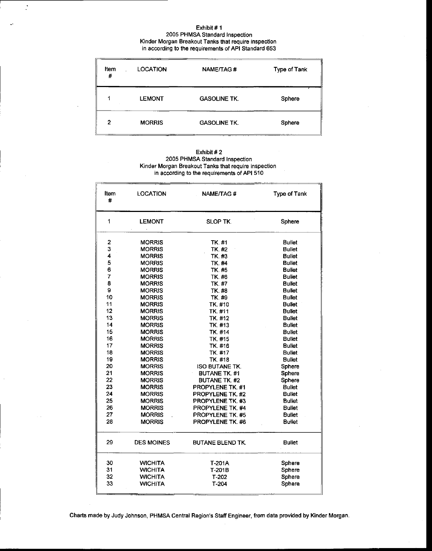#### Exhibit #1 2005 PHMSA Standard Inspection Kinder Morgan Breakout Tanks thai require inspection in according to the requirements of API Standard 653

| <b>Item</b><br># | <b>LOCATION</b> | NAME/TAG#           | Type of Tank |
|------------------|-----------------|---------------------|--------------|
|                  | <b>LEMONT</b>   | <b>GASOLINE TK.</b> | Sphere       |
| $\overline{2}$   | <b>MORRIS</b>   | <b>GASOLINE TK.</b> | Sphere       |

#### Exhibit # 2 2005 PHMSA Standard Inspection Kinder Morgan Breakout Tanks that require inspection in according to the requirements of API 510

| Item<br># | <b>LOCATION</b>                | NAME/TAG#               | <b>Type of Tank</b>            |
|-----------|--------------------------------|-------------------------|--------------------------------|
| 1         | <b>LEMONT</b>                  | <b>SLOP TK.</b>         | Sphere                         |
| 2<br>3    | <b>MORRIS</b><br><b>MORRIS</b> | TK.#1<br>TK. #2         | <b>Bullet</b><br><b>Bullet</b> |
| 4         | <b>MORRIS</b>                  | TK.#3                   | <b>Bullet</b>                  |
| 5         | <b>MORRIS</b>                  | TK. #4                  | <b>Bullet</b>                  |
| 6         | <b>MORRIS</b>                  | TK. #5                  | <b>Bullet</b>                  |
| 7         | <b>MORRIS</b>                  | TK. #6                  | <b>Bullet</b>                  |
| 8         | <b>MORRIS</b>                  | TK. #7                  | <b>Bullet</b>                  |
| g         | <b>MORRIS</b>                  | TK. #8                  | <b>Bullet</b>                  |
| 10        | <b>MORRIS</b>                  | TK. #9                  | <b>Bullet</b>                  |
| 11        | <b>MORRIS</b>                  | TK. #10                 | <b>Bullet</b>                  |
| 12        | <b>MORRIS</b>                  | TK. #11                 | <b>Bullet</b>                  |
| 13        | <b>MORRIS</b>                  | TK #12                  | <b>Bullet</b>                  |
| 14        | <b>MORRIS</b>                  | TK. #13                 | <b>Bullet</b>                  |
| 15        | <b>MORRIS</b>                  | TK. #14                 | <b>Bullet</b>                  |
| 16        | <b>MORRIS</b>                  | TK. #15                 | Bullet                         |
| 17        | <b>MORRIS</b>                  | TK. #16                 | <b>Bullet</b>                  |
| 18        | <b>MORRIS</b>                  | TK. #17                 | <b>Bullet</b>                  |
| 19        | <b>MORRIS</b>                  | TK. #18                 | <b>Bullet</b>                  |
| 20        | <b>MORRIS</b>                  | <b>ISO BUTANE TK.</b>   | Sphere                         |
| 21        | <b>MORRIS</b>                  | <b>BUTANE TK. #1</b>    | Sphere                         |
| 22        | <b>MORRIS</b>                  | <b>BUTANE TK. #2</b>    | Sphere                         |
| 23        | <b>MORRIS</b>                  | PROPYLENE TK. #1        | <b>Bullet</b>                  |
| 24        | <b>MORRIS</b>                  | PROPYLENE TK. #2        | <b>Bullet</b>                  |
| 25        | <b>MORRIS</b>                  | PROPYLENE TK. #3        | <b>Bullet</b>                  |
| 26        | <b>MORRIS</b>                  | <b>PROPYLENE TK #4</b>  | <b>Bullet</b>                  |
| 27        | <b>MORRIS</b>                  | PROPYLENE TK. #5        | <b>Bullet</b>                  |
| 28        | <b>MORRIS</b>                  | PROPYLENE TK. #6        | <b>Bullet</b>                  |
| 29        | <b>DES MOINES</b>              | <b>BUTANE BLEND TK.</b> | <b>Bullet</b>                  |
| 30        | <b>WICHITA</b>                 | T-201A                  | Sphere                         |
| 31        | <b>WICHITA</b>                 | $T-201B$                | Sphere                         |
| 32        | <b>WICHITA</b>                 | $T-202$                 | Sphere                         |
| 33        | <b>WICHITA</b>                 | $T-204$                 | <b>Sphere</b>                  |

Charts made by Judy Johnson, PHMSA Central Region's Staff Engineer, from data provided by Kinder Morgan.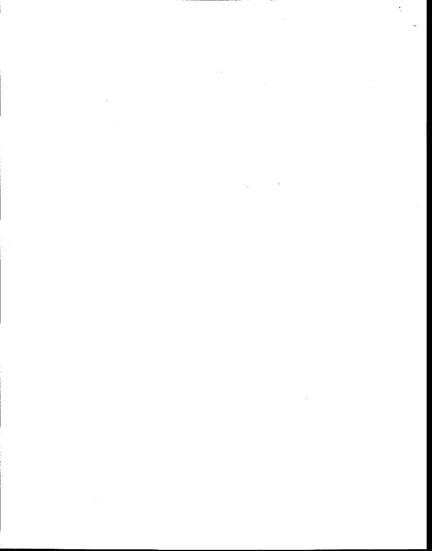$\label{eq:2.1} \frac{1}{\sqrt{2}}\left(\frac{1}{\sqrt{2}}\right)^{2} \left(\frac{1}{\sqrt{2}}\right)^{2} \left(\frac{1}{\sqrt{2}}\right)^{2} \left(\frac{1}{\sqrt{2}}\right)^{2} \left(\frac{1}{\sqrt{2}}\right)^{2} \left(\frac{1}{\sqrt{2}}\right)^{2} \left(\frac{1}{\sqrt{2}}\right)^{2} \left(\frac{1}{\sqrt{2}}\right)^{2} \left(\frac{1}{\sqrt{2}}\right)^{2} \left(\frac{1}{\sqrt{2}}\right)^{2} \left(\frac{1}{\sqrt{2}}\right)^{2} \left(\$ 

 $\frac{1}{2}$ 

 $\label{eq:2.1} \frac{1}{\sqrt{2}}\left(\frac{1}{\sqrt{2}}\right)^{2} \left(\frac{1}{\sqrt{2}}\right)^{2} \left(\frac{1}{\sqrt{2}}\right)^{2} \left(\frac{1}{\sqrt{2}}\right)^{2} \left(\frac{1}{\sqrt{2}}\right)^{2} \left(\frac{1}{\sqrt{2}}\right)^{2} \left(\frac{1}{\sqrt{2}}\right)^{2} \left(\frac{1}{\sqrt{2}}\right)^{2} \left(\frac{1}{\sqrt{2}}\right)^{2} \left(\frac{1}{\sqrt{2}}\right)^{2} \left(\frac{1}{\sqrt{2}}\right)^{2} \left(\$ 

 $\label{eq:2.1} \frac{1}{\sqrt{2}}\int_{\mathbb{R}^3}\frac{1}{\sqrt{2}}\left(\frac{1}{\sqrt{2}}\right)^2\frac{1}{\sqrt{2}}\left(\frac{1}{\sqrt{2}}\right)^2\frac{1}{\sqrt{2}}\left(\frac{1}{\sqrt{2}}\right)^2\frac{1}{\sqrt{2}}\left(\frac{1}{\sqrt{2}}\right)^2\frac{1}{\sqrt{2}}\left(\frac{1}{\sqrt{2}}\right)^2\frac{1}{\sqrt{2}}\frac{1}{\sqrt{2}}\frac{1}{\sqrt{2}}\frac{1}{\sqrt{2}}\frac{1}{\sqrt{2}}\frac{1}{\sqrt{2}}$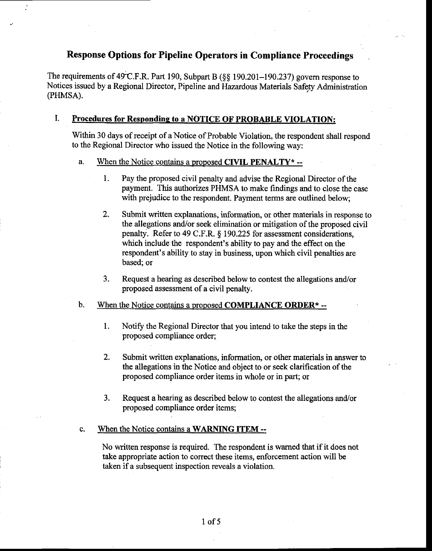# Response Options for Pipeline Operators in Compliance Proceedings

The requirements of 49°C.F.R. Part 190, Subpart B ( $\S$ § 190.201-190.237) govern response to Notices issued by a Regional Director, Pipeline and Hazardous Materials Safety Administration (PHMSA).

## I. Procedures for Responding to a NOTICE OF PROBABLE VIOLATION:

Within 30 days of receipt of a Notice of Probable Violation, the respondent shall respond to the Regional Director who issued the Notice in the following way:

### a. When the Notice contains a proposed CIVIL PENALTY\* --

- l. Pay the proposed civil penalty and advise the Regional Director of the payment. This authorizes PHMSA to make findings and to close the case with prejudice to the respondent. Payment terms are outlined below;
- 2. Submit written explanations, information, or other materials in response to the allegations and/or seek elimination or mitigation of the proposed civil penalty. Refer to 49 C.F.R. S 190.225 for assessment considerations, which include the respondent's ability to pay and the effect on the respondent's ability to stay in business, upon which civil penalties are based; or
- 3. Request a hearing as described below to contest the allegations and/or proposed assessment of a civil penalty.

### b. When the Notice contains a proposed **COMPLIANCE ORDER**\* --

- 1. Notify the Regional Director that you intend to take the steps in the proposed compliance order;
- $2.$ Submit written explanations, information, or other materials in answer to the allegations in the Notice and object to or seek clarification of the proposed compliance order items in whole or in part; or
- Request a hearing as described below to contest the allegations and/or proposed compliance order items; 3.

#### When the Notice contains a WARNING ITEM -c.

No written response is required. The respondent is warned that if it does not take appropriate action to correct these items, enforcement action will be taken if a subsequent inspection reveals a violation.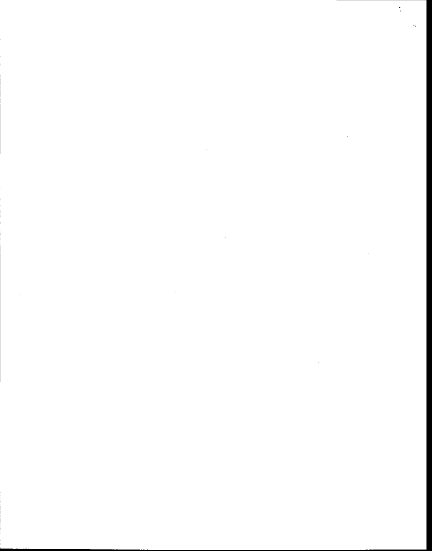$\label{eq:2.1} \frac{1}{\sqrt{2\pi}}\int_{0}^{\infty} \frac{d\mu}{\sqrt{2\pi}}\left(\frac{d\mu}{\mu}\right)^2\frac{d\mu}{\mu}\left(\frac{d\mu}{\mu}\right)^2\frac{d\mu}{\mu}\left(\frac{d\mu}{\mu}\right)^2.$ 

 $\label{eq:2.1} \frac{1}{2} \sum_{i=1}^n \frac{1}{2} \sum_{j=1}^n \frac{1}{2} \sum_{j=1}^n \frac{1}{2} \sum_{j=1}^n \frac{1}{2} \sum_{j=1}^n \frac{1}{2} \sum_{j=1}^n \frac{1}{2} \sum_{j=1}^n \frac{1}{2} \sum_{j=1}^n \frac{1}{2} \sum_{j=1}^n \frac{1}{2} \sum_{j=1}^n \frac{1}{2} \sum_{j=1}^n \frac{1}{2} \sum_{j=1}^n \frac{1}{2} \sum_{j=1}^n \frac{$  $\label{eq:2.1} \mathcal{L}(\mathcal{L}^{\mathcal{L}}_{\mathcal{L}}(\mathcal{L}^{\mathcal{L}}_{\mathcal{L}})) = \mathcal{L}(\mathcal{L}^{\mathcal{L}}_{\mathcal{L}}(\mathcal{L}^{\mathcal{L}}_{\mathcal{L}})) = \mathcal{L}(\mathcal{L}^{\mathcal{L}}_{\mathcal{L}}(\mathcal{L}^{\mathcal{L}}_{\mathcal{L}}))$ 

 $\label{eq:2.1} \frac{1}{\sqrt{2}}\int_{\mathbb{R}^3}\frac{1}{\sqrt{2}}\left(\frac{1}{\sqrt{2}}\int_{\mathbb{R}^3}\frac{1}{\sqrt{2}}\left(\frac{1}{\sqrt{2}}\int_{\mathbb{R}^3}\frac{1}{\sqrt{2}}\left(\frac{1}{\sqrt{2}}\int_{\mathbb{R}^3}\frac{1}{\sqrt{2}}\right)\frac{1}{\sqrt{2}}\right)\frac{1}{\sqrt{2}}\right)=\frac{1}{2}\int_{\mathbb{R}^3}\frac{1}{\sqrt{2}}\int_{\mathbb{R}^3}\frac{1}{\sqrt{2}}\left(\frac{1$ 

 $\mathcal{L}_{\text{max}}$  and  $\mathcal{L}_{\text{max}}$ 

 $\ddot{\cdot}$ 

 $\label{eq:2.1} \frac{1}{\sqrt{2}}\int_{\mathbb{R}^3}\frac{1}{\sqrt{2}}\left(\frac{1}{\sqrt{2}}\right)^2\frac{1}{\sqrt{2}}\left(\frac{1}{\sqrt{2}}\right)^2\frac{1}{\sqrt{2}}\left(\frac{1}{\sqrt{2}}\right)^2\frac{1}{\sqrt{2}}\left(\frac{1}{\sqrt{2}}\right)^2\frac{1}{\sqrt{2}}\left(\frac{1}{\sqrt{2}}\right)^2\frac{1}{\sqrt{2}}\frac{1}{\sqrt{2}}\frac{1}{\sqrt{2}}\frac{1}{\sqrt{2}}\frac{1}{\sqrt{2}}\frac{1}{\sqrt{2}}$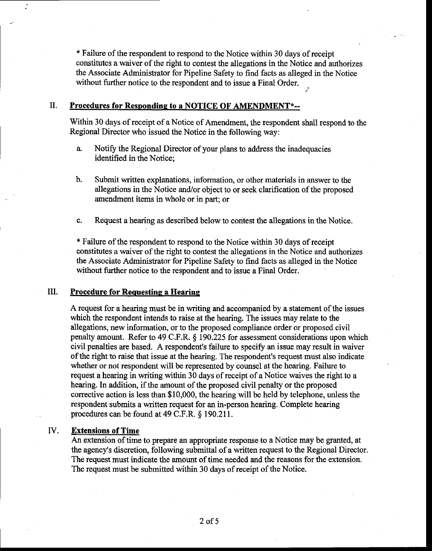\* Failure of the respondent to respond to the Notice within 30 days of receipt constitutes a waiver of the right to contest the allegations in the Notice and authorizes the Associate Administrator for Pipeline Safety to find facts as alleged in the Notice without further notice to the respondent and to issue a Final Order. ,,

#### il. Procedures for Responding to a NOTICE OF AMENDMENT\*--

Within 30 days of receipt of a Notice of Amendment, the respondent shall respond to the Regional Directorwho issued the Notice in the following way:

- a. Notify the Regional Director of your plans to address the inadequacies identified in the Notice;
- Submit written explanations, information, or other materials in answer to the allegations in the Notice and/or object to or seek clarification of the proposed amendment items in whole or in part; or b.
- Request a hearing as described below to contest the allegations in the Notice. c.

\* Failure of the respondent to respond to the Notice within 30 days of receipt constitutes a waiver of the right to contest the allegations in the Notice and authorizes the Associate Administrator for Pipeline Safety to find facts as alleged in the Notice without firrther notice to the respondent and to issue a Final Order.

#### Procedure for Requesting a Hearing UL

A request for a hearing must be in writing and accompanied by a statement of the issues whioh the respondent intends to raise at the hearing. The issues may relate to the allegations, new information, or to the proposed compliance order or proposed civil penalty amount. Refer to 49 C.F.R. \$ 190.225 for assessment considerations upon which civil penalties are based. A respondent's failure to specify an issue may result in waiver of the right to raise that issue at the hearing. The respondent's request must also indicate whether or not respondent will be represented by counsel at the hearing. Failure to request a hearing in writing within 30 days of receipt of a Notice waives the right to a hearing. In addition, if the amount of the proposed civil penalty or the proposed corrective action is less than \$10,000, the hearing will be held by telephone, unless the respondent submits a written request for an in-person hearing. Complete hearing procedures can be found at 49 C.F.R. § 190.211.

#### Extensions of Time IV.

An extension of time to prepare an appropriate response to a Notice may be granted, at the agency's discretion, following submittal of a written request to the Regional Director. The request must indicate the amount of time needed and the reasons for the extension. The request must be submitted within 30 days of receipt of the Notice.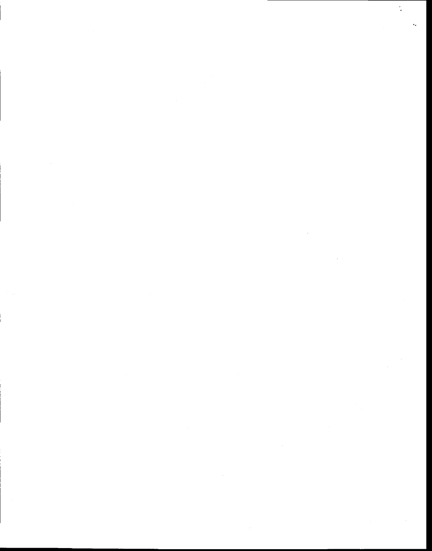ĩ,

 $\label{eq:2.1} \frac{1}{\sqrt{2}}\int_{\mathbb{R}^3}\frac{1}{\sqrt{2}}\left(\frac{1}{\sqrt{2}}\right)^2\frac{1}{\sqrt{2}}\left(\frac{1}{\sqrt{2}}\right)^2\frac{1}{\sqrt{2}}\left(\frac{1}{\sqrt{2}}\right)^2\frac{1}{\sqrt{2}}\left(\frac{1}{\sqrt{2}}\right)^2\frac{1}{\sqrt{2}}\left(\frac{1}{\sqrt{2}}\right)^2\frac{1}{\sqrt{2}}\frac{1}{\sqrt{2}}\frac{1}{\sqrt{2}}\frac{1}{\sqrt{2}}\frac{1}{\sqrt{2}}\frac{1}{\sqrt{2}}$ 

 $\label{eq:2.1} \frac{1}{\sqrt{2}}\int_{\mathbb{R}^3}\frac{1}{\sqrt{2}}\left(\frac{1}{\sqrt{2}}\right)^2\frac{1}{\sqrt{2}}\left(\frac{1}{\sqrt{2}}\right)^2\frac{1}{\sqrt{2}}\left(\frac{1}{\sqrt{2}}\right)^2\frac{1}{\sqrt{2}}\left(\frac{1}{\sqrt{2}}\right)^2.$ 

 $\label{eq:2.1} \frac{1}{\sqrt{2}}\int_{\mathbb{R}^{2}}\frac{1}{\sqrt{2}}\left(\frac{1}{\sqrt{2}}\right)^{2}d\mu_{\text{max}}\left(\frac{1}{\sqrt{2}}\right).$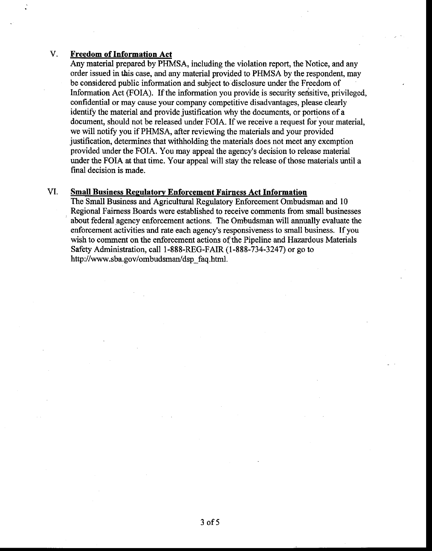## V. Freedom of Information Act

Any material prepared by PHMSA, including the violation report, the Notice, and any order issued in this case, and any material provided to PHMSA by the respondent, may be considered public information and subject to disclosure under the Freedom of Information Act (FOIA). If the information you provide is security sensitive, privileged, confidential or may cause your company competitive disadvantages, please clearly identify the material and provide justification why the documents, or portions of a document, should not be released under FOIA. If we receive a request for your material, we will notify you if PHMSA, after reviewing the materials and your provided justification, determines that withholding the materials does not meet any exemption provided under the FOIA. You may appeal the agency's decision to release material under the FOIA at that time. Your appeal will stay the release of those materials until a final decision is made.

#### **Small Business Regulatory Enforcement Fairness Act Information** VI.

The Small Business and Agricultural Regulatory Enforcement Ombudsman and l0 Regional Fairness Boards were established to receive comments from small businesses about federal agency enforcement actions. The Ombudsman will annually evaluate the enforcement activities and rate each agency's responsiveness to small business. If you wish to comment on the enforcement actions of the Pipeline and Hazardous Materials Safety Administration, call 1-888-REG-FAIR (1-888-734-3247) or go to http ://www. sba. gov/ombudsman/dsp\_faq.html.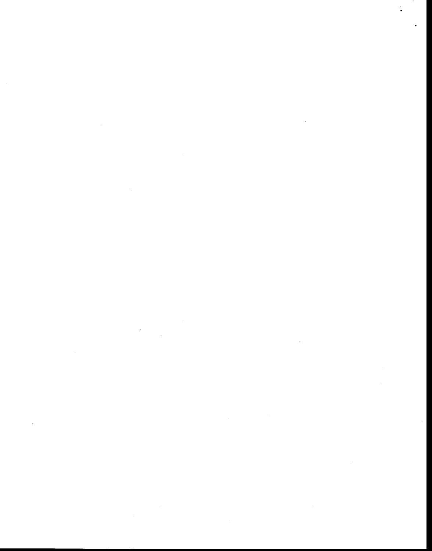$\ddot{\cdot}$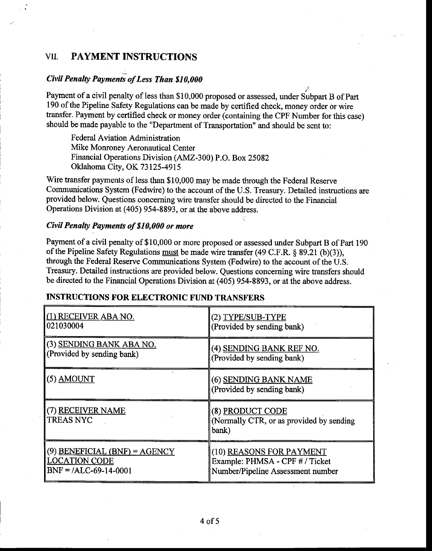## VII. PAYMENT INSTRUCTIONS

## Civil Penatty Puyments of Less Than \$10,000

 $\mathbb{X}_1$ Payment of a civil penalty of less than \$10,000 proposed or assessed, under Subpart B of Part 190 of the Pipeline Safety Regulations can be made by certified check, money order or wire transfer. Payment by certified check or money order (containing the CPF Number for this case) should be made payable to the "Department of Transportation" and should be sent to:

Federal Aviation Administration Mike Monroney Aeronautical Center Financial Operations Division (AMZ-300) P.O. Box 25082 Oklahoma City, OK 73125-4915

Wire transfer payments of less than \$10,000 may be made through the Federal Reserve Communications System (Fedwire) to the account of the U.S. Treasury. Detailed instructions are provided below. Questions concerning wire transfer should be directed to the Financial Operations Division at (405) 954-8893, or at the above address.

### Civil Penalty Payments of 910,000 or more

Payment of a civil penalty of \$10,000 or more proposed or assessed under Subpart B of Part 190 of the Pipeline Safety Regulations must be made wire transfer (49 C.F.R.  $\S$  89.21 (b)(3)), through the Federal Reserve Communications System (Fedwire) to the account of the U.S. Treasury. Detailed instructions are provided below. Questions concerning wire transfers should be directed to the Financial Operations Division at (405) 954-8893, or at the above address.

### **INSTRUCTIONS FOR ELECTRONIC FUND TRANSFERS**

| (1) RECEIVER ABA NO.                  | <u>(2) TYPE/SUB-TYPE</u>                                               |
|---------------------------------------|------------------------------------------------------------------------|
| 021030004                             | (Provided by sending bank)                                             |
| (3) SENDING BANK ABA NO.              | (4) SENDING BANK REF NO.                                               |
| (Provided by sending bank)            | (Provided by sending bank)                                             |
| $(5)$ AMOUNT                          | (6) SENDING BANK NAME<br>(Provided by sending bank)                    |
| (7) RECEIVER NAME<br><b>TREAS NYC</b> | (8) PRODUCT CODE<br>(Normally CTR, or as provided by sending)<br>bank) |
| $(9)$ BENEFICIAL (BNF) = AGENCY       | (10) REASONS FOR PAYMENT                                               |
| <b>LOCATION CODE</b>                  | Example: PHMSA - CPF # / Ticket                                        |
| $BNF = /ALC-69-14-0001$               | Number/Pipeline Assessment number                                      |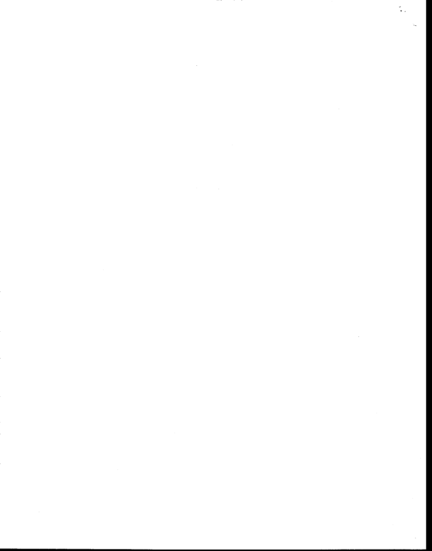$\frac{2}{3}$  .

 $\label{eq:2.1} \frac{1}{\sqrt{2}}\int_{\mathbb{R}^3}\frac{1}{\sqrt{2}}\left(\frac{1}{\sqrt{2}}\right)^2\frac{1}{\sqrt{2}}\left(\frac{1}{\sqrt{2}}\right)^2\frac{1}{\sqrt{2}}\left(\frac{1}{\sqrt{2}}\right)^2\frac{1}{\sqrt{2}}\left(\frac{1}{\sqrt{2}}\right)^2\frac{1}{\sqrt{2}}\left(\frac{1}{\sqrt{2}}\right)^2\frac{1}{\sqrt{2}}\frac{1}{\sqrt{2}}\frac{1}{\sqrt{2}}\frac{1}{\sqrt{2}}\frac{1}{\sqrt{2}}\frac{1}{\sqrt{2}}$ 

and a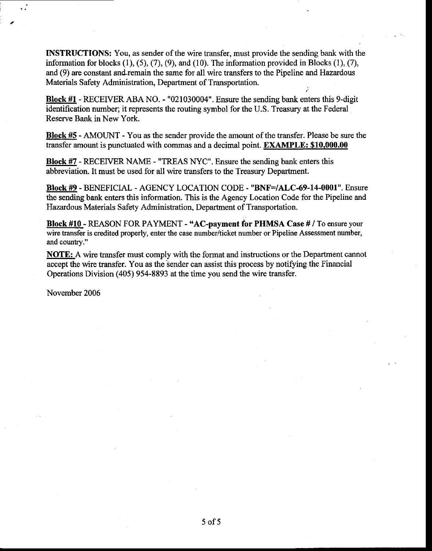INSTRUCTIONS: You, as sender of the wire transfer, must provide the sending bank with the information for blocks  $(1)$ ,  $(5)$ ,  $(7)$ ,  $(9)$ , and  $(10)$ . The information provided in Blocks  $(1)$ ,  $(7)$ , and (9) are constant and remain the same for all wire transfers to the Pipeline and Hazardous Materials Safety Administration, Department of Transportation. ;

Block#1 - RECEIVER ABA NO. - "021030004". Ensure the sending bank enters this 9-digit identification number; it represents the routing symbol for the U.S. Treasury at the Federal Reserve Bank in New York.

Block #5 - AMOUNT - You as the sender provide the amount of the transfer. Please be sure the transfer amount is punctuated with commas and a decimal point. **EXAMPLE:** \$10,000.00

Block #7 - RECEIVER NAME - "TREAS NYC", Ensure the sending bank enters this abbreviation. It must be used for all wire transfers to the Treasury Department.

Block#9 -BENEFICIAL - AGENCY LOCATION CODE - "BNF=/ALC-69-14-0001". Ensure the sending bank enters this information. This is the Agency Location Code for the Pipeline and Hazardous Materials Safety Administration, Department of Transportation,

Block #10 - REASON FOR PAYMENT - "AC-payment for PHMSA Case # / To ensure your wire transfer is credited properly, enter the case number/ticket number or Pipeline Assessment number, and country."

NOTE: A wire transfer must comply with the format and instructions or the Department cannot accept the wire transfer. You as the sender can assist this process by notifying the Financial Operations Division (405) 954-8893 at the time you send the wire transfer.

November 2006